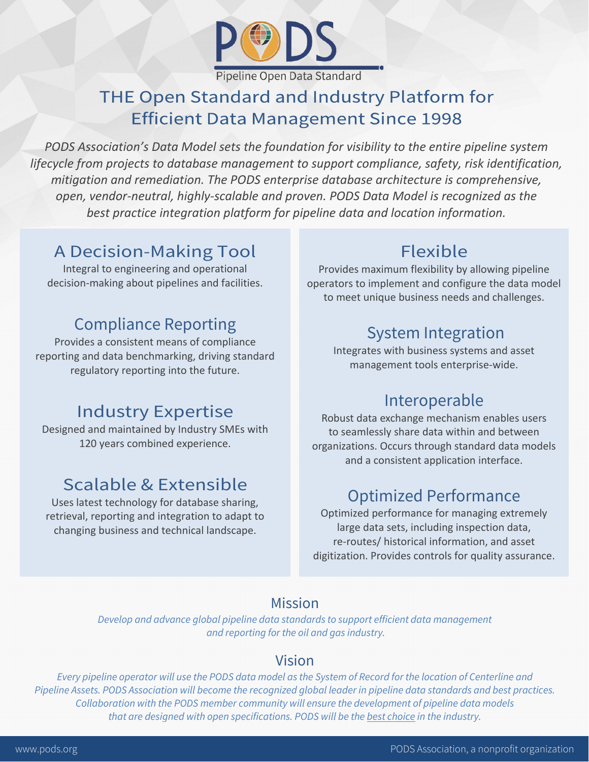

# THE Open Standard and Industry Platform for **Efficient Data Management Since 1998**

*PODS Association's Data Model sets the foundation for visibility to the entire pipeline system lifecycle from projects to database management to support compliance, safety, risk identification, mitigation and remediation. The PODS enterprise database architecture is comprehensive, open, vendor-neutral, highly-scalable and proven. PODS Data Model is recognized as the best practice integration platform for pipeline data and location information.*

#### A Decision-Making Tool

Integral to engineering and operational decision-making about pipelines and facilities.

### Compliance Reporting

Provides a consistent means of compliance reporting and data benchmarking, driving standard regulatory reporting into the future.

#### Industry Expertise

Designed and maintained by Industry SMEs with 120 years combined experience.

# Scalable & Extensible

Uses latest technology for database sharing, retrieval, reporting and integration to adapt to changing business and technical landscape.

# Flexible

Provides maximum flexibility by allowing pipeline operators to implement and configure the data model to meet unique business needs and challenges.

# System Integration

Integrates with business systems and asset management tools enterprise-wide.

# Interoperable

Robust data exchange mechanism enables users to seamlessly share data within and between organizations. Occurs through standard data models and a consistent application interface.

# Optimized Performance

Optimized performance for managing extremely large data sets, including inspection data, re-routes/ historical information, and asset digitization. Provides controls for quality assurance.

#### Mission

*Develop and advance global pipeline data standards to support efficient data management and reporting for the oil and gas industry.*

#### Vision

*Every pipeline operator will use the PODS data model as the System of Record for the location of Centerline and Pipeline Assets. PODS Association will become the recognized global leader in pipeline data standards and best practices. Collaboration with the PODS member community will ensure the development of pipeline data models that are designed with open specifications. PODS will be the best choice in the industry.*